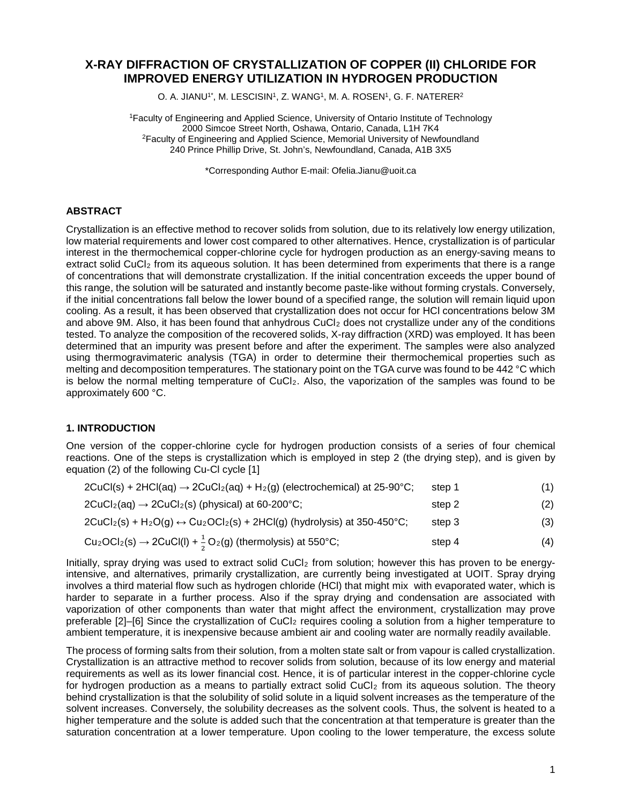# **X-RAY DIFFRACTION OF CRYSTALLIZATION OF COPPER (II) CHLORIDE FOR IMPROVED ENERGY UTILIZATION IN HYDROGEN PRODUCTION**

O. A. JIANU $^{\text{\tiny{\textsf{1}}} *}$ , M. LESCISIN $^{\text{\tiny{\textsf{1}}}}$ , Z. WANG $^{\text{\tiny{\textsf{1}}}}$ , M. A. ROSEN $^{\text{\tiny{\textsf{1}}}}$ , G. F. NATERER $^{\text{\tiny{\textsf{2}}}}$ 

1Faculty of Engineering and Applied Science, University of Ontario Institute of Technology 2000 Simcoe Street North, Oshawa, Ontario, Canada, L1H 7K4 2Faculty of Engineering and Applied Science, Memorial University of Newfoundland 240 Prince Phillip Drive, St. John's, Newfoundland, Canada, A1B 3X5

\*Corresponding Author E-mail: Ofelia.Jianu@uoit.ca

## **ABSTRACT**

Crystallization is an effective method to recover solids from solution, due to its relatively low energy utilization, low material requirements and lower cost compared to other alternatives. Hence, crystallization is of particular interest in the thermochemical copper-chlorine cycle for hydrogen production as an energy-saving means to extract solid CuCl<sub>2</sub> from its aqueous solution. It has been determined from experiments that there is a range of concentrations that will demonstrate crystallization. If the initial concentration exceeds the upper bound of this range, the solution will be saturated and instantly become paste-like without forming crystals. Conversely, if the initial concentrations fall below the lower bound of a specified range, the solution will remain liquid upon cooling. As a result, it has been observed that crystallization does not occur for HCl concentrations below 3M and above 9M. Also, it has been found that anhydrous CuCl<sub>2</sub> does not crystallize under any of the conditions tested. To analyze the composition of the recovered solids, X-ray diffraction (XRD) was employed. It has been determined that an impurity was present before and after the experiment. The samples were also analyzed using thermogravimateric analysis (TGA) in order to determine their thermochemical properties such as melting and decomposition temperatures. The stationary point on the TGA curve was found to be 442 °C which is below the normal melting temperature of CuCl<sub>2</sub>. Also, the vaporization of the samples was found to be approximately 600 °C.

### **1. INTRODUCTION**

One version of the copper-chlorine cycle for hydrogen production consists of a series of four chemical reactions. One of the steps is crystallization which is employed in step 2 (the drying step), and is given by equation (2) of the following Cu-Cl cycle [1]

| $2CuCl(s) + 2HCl(aq) \rightarrow 2CuCl2(aq) + H2(g)$ (electrochemical) at 25-90°C;   | step 1 | (1) |
|--------------------------------------------------------------------------------------|--------|-----|
| $2CuCl2(aq) \rightarrow 2CuCl2(s)$ (physical) at 60-200°C;                           | step 2 | (2) |
| $2CuCl2(s) + H2O(g) \leftrightarrow Cu2OCl2(s) + 2HCl(g)$ (hydrolysis) at 350-450°C; | step 3 | (3) |
| $Cu2OCl2(s) \rightarrow 2CuCl(I) + \frac{1}{2}O2(g)$ (thermolysis) at 550°C;         | step 4 | (4) |

Initially, spray drying was used to extract solid CuCl<sub>2</sub> from solution; however this has proven to be energyintensive, and alternatives, primarily crystallization, are currently being investigated at UOIT. Spray drying involves a third material flow such as hydrogen chloride (HCl) that might mix with evaporated water, which is harder to separate in a further process. Also if the spray drying and condensation are associated with vaporization of other components than water that might affect the environment, crystallization may prove preferable [2]–[6] Since the crystallization of CuCl<sub>2</sub> requires cooling a solution from a higher temperature to ambient temperature, it is inexpensive because ambient air and cooling water are normally readily available.

The process of forming salts from their solution, from a molten state salt or from vapour is called crystallization. Crystallization is an attractive method to recover solids from solution, because of its low energy and material requirements as well as its lower financial cost. Hence, it is of particular interest in the copper-chlorine cycle for hydrogen production as a means to partially extract solid CuCl<sub>2</sub> from its aqueous solution. The theory behind crystallization is that the solubility of solid solute in a liquid solvent increases as the temperature of the solvent increases. Conversely, the solubility decreases as the solvent cools. Thus, the solvent is heated to a higher temperature and the solute is added such that the concentration at that temperature is greater than the saturation concentration at a lower temperature. Upon cooling to the lower temperature, the excess solute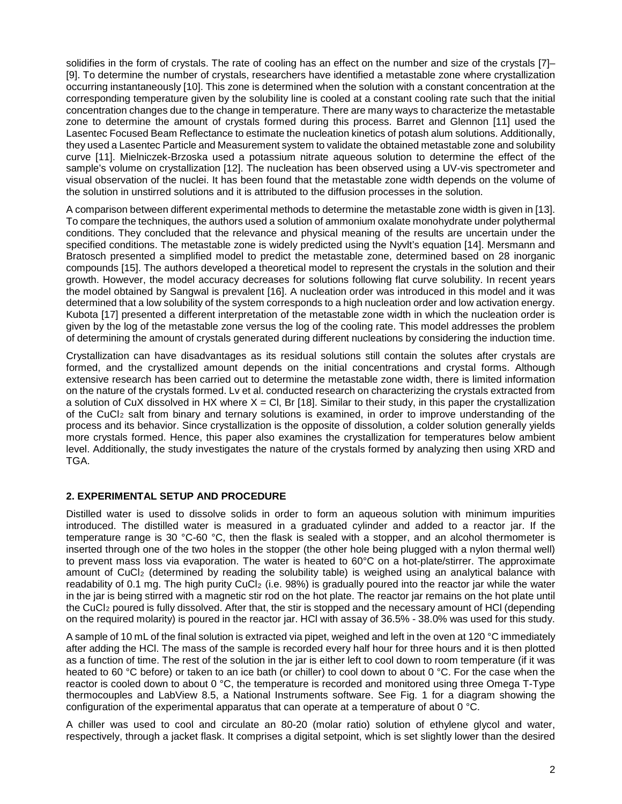solidifies in the form of crystals. The rate of cooling has an effect on the number and size of the crystals [7]– [9]. To determine the number of crystals, researchers have identified a metastable zone where crystallization occurring instantaneously [10]. This zone is determined when the solution with a constant concentration at the corresponding temperature given by the solubility line is cooled at a constant cooling rate such that the initial concentration changes due to the change in temperature. There are many ways to characterize the metastable zone to determine the amount of crystals formed during this process. Barret and Glennon [11] used the Lasentec Focused Beam Reflectance to estimate the nucleation kinetics of potash alum solutions. Additionally, they used a Lasentec Particle and Measurement system to validate the obtained metastable zone and solubility curve [11]. Mielniczek-Brzoska used a potassium nitrate aqueous solution to determine the effect of the sample's volume on crystallization [12]. The nucleation has been observed using a UV-vis spectrometer and visual observation of the nuclei. It has been found that the metastable zone width depends on the volume of the solution in unstirred solutions and it is attributed to the diffusion processes in the solution.

A comparison between different experimental methods to determine the metastable zone width is given in [13]. To compare the techniques, the authors used a solution of ammonium oxalate monohydrate under polythermal conditions. They concluded that the relevance and physical meaning of the results are uncertain under the specified conditions. The metastable zone is widely predicted using the Nyvlt's equation [14]. Mersmann and Bratosch presented a simplified model to predict the metastable zone, determined based on 28 inorganic compounds [15]. The authors developed a theoretical model to represent the crystals in the solution and their growth. However, the model accuracy decreases for solutions following flat curve solubility. In recent years the model obtained by Sangwal is prevalent [16]. A nucleation order was introduced in this model and it was determined that a low solubility of the system corresponds to a high nucleation order and low activation energy. Kubota [17] presented a different interpretation of the metastable zone width in which the nucleation order is given by the log of the metastable zone versus the log of the cooling rate. This model addresses the problem of determining the amount of crystals generated during different nucleations by considering the induction time.

Crystallization can have disadvantages as its residual solutions still contain the solutes after crystals are formed, and the crystallized amount depends on the initial concentrations and crystal forms. Although extensive research has been carried out to determine the metastable zone width, there is limited information on the nature of the crystals formed. Lv et al. conducted research on characterizing the crystals extracted from a solution of CuX dissolved in HX where  $X = CI$ , Br [18]. Similar to their study, in this paper the crystallization of the CuCl<sub>2</sub> salt from binary and ternary solutions is examined, in order to improve understanding of the process and its behavior. Since crystallization is the opposite of dissolution, a colder solution generally yields more crystals formed. Hence, this paper also examines the crystallization for temperatures below ambient level. Additionally, the study investigates the nature of the crystals formed by analyzing then using XRD and TGA.

### **2. EXPERIMENTAL SETUP AND PROCEDURE**

Distilled water is used to dissolve solids in order to form an aqueous solution with minimum impurities introduced. The distilled water is measured in a graduated cylinder and added to a reactor jar. If the temperature range is 30 °C-60 °C, then the flask is sealed with a stopper, and an alcohol thermometer is inserted through one of the two holes in the stopper (the other hole being plugged with a nylon thermal well) to prevent mass loss via evaporation. The water is heated to 60°C on a hot-plate/stirrer. The approximate amount of CuCl<sub>2</sub> (determined by reading the solubility table) is weighed using an analytical balance with readability of 0.1 mg. The high purity CuCl2 (i.e. 98%) is gradually poured into the reactor jar while the water in the jar is being stirred with a magnetic stir rod on the hot plate. The reactor jar remains on the hot plate until the CuCl2 poured is fully dissolved. After that, the stir is stopped and the necessary amount of HCl (depending on the required molarity) is poured in the reactor jar. HCl with assay of 36.5% - 38.0% was used for this study.

A sample of 10 mL of the final solution is extracted via pipet, weighed and left in the oven at 120 °C immediately after adding the HCl. The mass of the sample is recorded every half hour for three hours and it is then plotted as a function of time. The rest of the solution in the jar is either left to cool down to room temperature (if it was heated to 60 °C before) or taken to an ice bath (or chiller) to cool down to about 0 °C. For the case when the reactor is cooled down to about 0 °C, the temperature is recorded and monitored using three Omega T-Type thermocouples and LabView 8.5, a National Instruments software. See Fig. 1 for a diagram showing the configuration of the experimental apparatus that can operate at a temperature of about  $0^{\circ}$ C.

A chiller was used to cool and circulate an 80-20 (molar ratio) solution of ethylene glycol and water, respectively, through a jacket flask. It comprises a digital setpoint, which is set slightly lower than the desired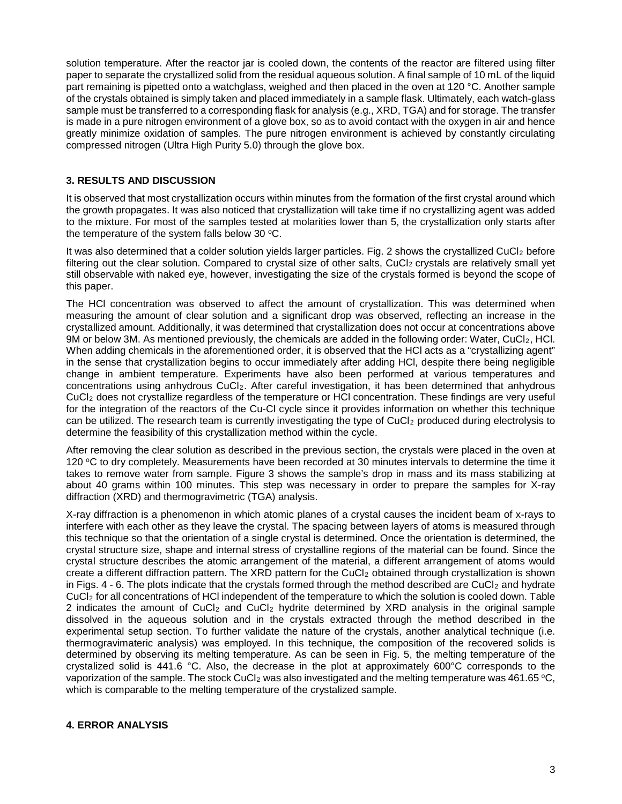solution temperature. After the reactor jar is cooled down, the contents of the reactor are filtered using filter paper to separate the crystallized solid from the residual aqueous solution. A final sample of 10 mL of the liquid part remaining is pipetted onto a watchglass, weighed and then placed in the oven at 120 °C. Another sample of the crystals obtained is simply taken and placed immediately in a sample flask. Ultimately, each watch-glass sample must be transferred to a corresponding flask for analysis (e.g., XRD, TGA) and for storage. The transfer is made in a pure nitrogen environment of a glove box, so as to avoid contact with the oxygen in air and hence greatly minimize oxidation of samples. The pure nitrogen environment is achieved by constantly circulating compressed nitrogen (Ultra High Purity 5.0) through the glove box.

## **3. RESULTS AND DISCUSSION**

It is observed that most crystallization occurs within minutes from the formation of the first crystal around which the growth propagates. It was also noticed that crystallization will take time if no crystallizing agent was added to the mixture. For most of the samples tested at molarities lower than 5, the crystallization only starts after the temperature of the system falls below 30  $\mathrm{°C}$ .

It was also determined that a colder solution yields larger particles. Fig. 2 shows the crystallized CuCl<sub>2</sub> before filtering out the clear solution. Compared to crystal size of other salts, CuCl<sub>2</sub> crystals are relatively small yet still observable with naked eye, however, investigating the size of the crystals formed is beyond the scope of this paper.

The HCl concentration was observed to affect the amount of crystallization. This was determined when measuring the amount of clear solution and a significant drop was observed, reflecting an increase in the crystallized amount. Additionally, it was determined that crystallization does not occur at concentrations above 9M or below 3M. As mentioned previously, the chemicals are added in the following order: Water, CuCl2, HCl. When adding chemicals in the aforementioned order, it is observed that the HCI acts as a "crystallizing agent" in the sense that crystallization begins to occur immediately after adding HCl, despite there being negligible change in ambient temperature. Experiments have also been performed at various temperatures and concentrations using anhydrous CuCl<sub>2</sub>. After careful investigation, it has been determined that anhydrous CuCl2 does not crystallize regardless of the temperature or HCl concentration. These findings are very useful for the integration of the reactors of the Cu-Cl cycle since it provides information on whether this technique can be utilized. The research team is currently investigating the type of CuCl2 produced during electrolysis to determine the feasibility of this crystallization method within the cycle.

After removing the clear solution as described in the previous section, the crystals were placed in the oven at 120 °C to dry completely. Measurements have been recorded at 30 minutes intervals to determine the time it takes to remove water from sample. Figure 3 shows the sample's drop in mass and its mass stabilizing at about 40 grams within 100 minutes. This step was necessary in order to prepare the samples for X-ray diffraction (XRD) and thermogravimetric (TGA) analysis.

X-ray diffraction is a phenomenon in which atomic planes of a crystal causes the incident beam of x-rays to interfere with each other as they leave the crystal. The spacing between layers of atoms is measured through this technique so that the orientation of a single crystal is determined. Once the orientation is determined, the crystal structure size, shape and internal stress of crystalline regions of the material can be found. Since the crystal structure describes the atomic arrangement of the material, a different arrangement of atoms would create a different diffraction pattern. The XRD pattern for the CuCl2 obtained through crystallization is shown in Figs.  $4 - 6$ . The plots indicate that the crystals formed through the method described are CuCl<sub>2</sub> and hydrate CuCl2 for all concentrations of HCl independent of the temperature to which the solution is cooled down. Table 2 indicates the amount of  $CuCl<sub>2</sub>$  and  $CuCl<sub>2</sub>$  hydrite determined by XRD analysis in the original sample dissolved in the aqueous solution and in the crystals extracted through the method described in the experimental setup section. To further validate the nature of the crystals, another analytical technique (i.e. thermogravimateric analysis) was employed. In this technique, the composition of the recovered solids is determined by observing its melting temperature. As can be seen in Fig. 5, the melting temperature of the crystalized solid is 441.6 °C. Also, the decrease in the plot at approximately 600°C corresponds to the vaporization of the sample. The stock CuCl<sub>2</sub> was also investigated and the melting temperature was 461.65 °C, which is comparable to the melting temperature of the crystalized sample.

## **4. ERROR ANALYSIS**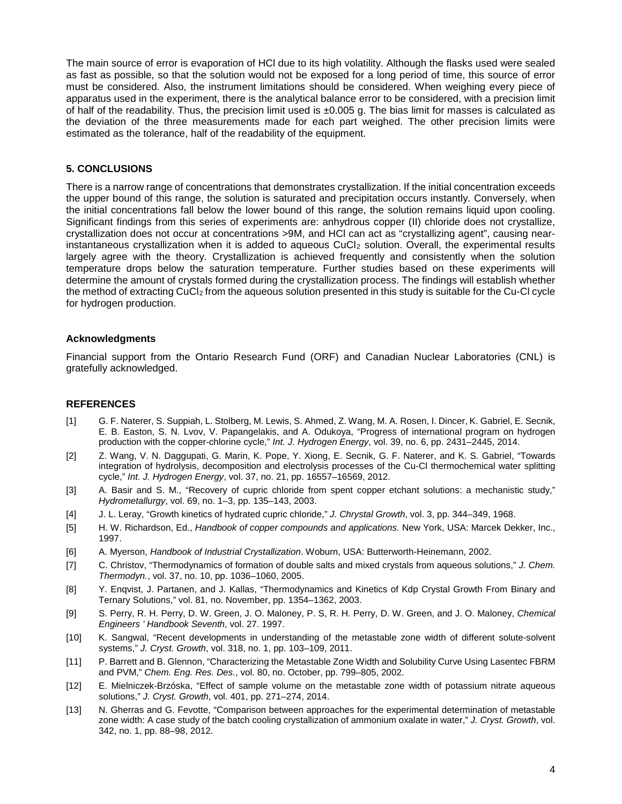The main source of error is evaporation of HCl due to its high volatility. Although the flasks used were sealed as fast as possible, so that the solution would not be exposed for a long period of time, this source of error must be considered. Also, the instrument limitations should be considered. When weighing every piece of apparatus used in the experiment, there is the analytical balance error to be considered, with a precision limit of half of the readability. Thus, the precision limit used is  $\pm 0.005$  g. The bias limit for masses is calculated as the deviation of the three measurements made for each part weighed. The other precision limits were estimated as the tolerance, half of the readability of the equipment.

## **5. CONCLUSIONS**

There is a narrow range of concentrations that demonstrates crystallization. If the initial concentration exceeds the upper bound of this range, the solution is saturated and precipitation occurs instantly. Conversely, when the initial concentrations fall below the lower bound of this range, the solution remains liquid upon cooling. Significant findings from this series of experiments are: anhydrous copper (II) chloride does not crystallize, crystallization does not occur at concentrations >9M, and HCl can act as "crystallizing agent", causing nearinstantaneous crystallization when it is added to aqueous CuCl<sub>2</sub> solution. Overall, the experimental results largely agree with the theory. Crystallization is achieved frequently and consistently when the solution temperature drops below the saturation temperature. Further studies based on these experiments will determine the amount of crystals formed during the crystallization process. The findings will establish whether the method of extracting CuCl<sub>2</sub> from the aqueous solution presented in this study is suitable for the Cu-Cl cycle for hydrogen production.

#### **Acknowledgments**

Financial support from the Ontario Research Fund (ORF) and Canadian Nuclear Laboratories (CNL) is gratefully acknowledged.

#### **REFERENCES**

- [1] G. F. Naterer, S. Suppiah, L. Stolberg, M. Lewis, S. Ahmed, Z. Wang, M. A. Rosen, I. Dincer, K. Gabriel, E. Secnik, E. B. Easton, S. N. Lvov, V. Papangelakis, and A. Odukoya, "Progress of international program on hydrogen production with the copper-chlorine cycle," *Int. J. Hydrogen Energy*, vol. 39, no. 6, pp. 2431–2445, 2014.
- [2] Z. Wang, V. N. Daggupati, G. Marin, K. Pope, Y. Xiong, E. Secnik, G. F. Naterer, and K. S. Gabriel, "Towards integration of hydrolysis, decomposition and electrolysis processes of the Cu-Cl thermochemical water splitting cycle," *Int. J. Hydrogen Energy*, vol. 37, no. 21, pp. 16557–16569, 2012.
- [3] A. Basir and S. M., "Recovery of cupric chloride from spent copper etchant solutions: a mechanistic study," *Hydrometallurgy*, vol. 69, no. 1–3, pp. 135–143, 2003.
- [4] J. L. Leray, "Growth kinetics of hydrated cupric chloride," *J. Chrystal Growth*, vol. 3, pp. 344–349, 1968.
- [5] H. W. Richardson, Ed., *Handbook of copper compounds and applications*. New York, USA: Marcek Dekker, Inc., 1997.
- [6] A. Myerson, *Handbook of Industrial Crystallization*. Woburn, USA: Butterworth-Heinemann, 2002.
- [7] C. Christov, "Thermodynamics of formation of double salts and mixed crystals from aqueous solutions," *J. Chem. Thermodyn.*, vol. 37, no. 10, pp. 1036–1060, 2005.
- [8] Y. Enqvist, J. Partanen, and J. Kallas, "Thermodynamics and Kinetics of Kdp Crystal Growth From Binary and Ternary Solutions," vol. 81, no. November, pp. 1354–1362, 2003.
- [9] S. Perry, R. H. Perry, D. W. Green, J. O. Maloney, P. S, R. H. Perry, D. W. Green, and J. O. Maloney, *Chemical Engineers ' Handbook Seventh*, vol. 27. 1997.
- [10] K. Sangwal, "Recent developments in understanding of the metastable zone width of different solute-solvent systems," *J. Cryst. Growth*, vol. 318, no. 1, pp. 103–109, 2011.
- [11] P. Barrett and B. Glennon, "Characterizing the Metastable Zone Width and Solubility Curve Using Lasentec FBRM and PVM," *Chem. Eng. Res. Des.*, vol. 80, no. October, pp. 799–805, 2002.
- [12] E. Mielniczek-Brzóska, "Effect of sample volume on the metastable zone width of potassium nitrate aqueous solutions," *J. Cryst. Growth*, vol. 401, pp. 271–274, 2014.
- [13] N. Gherras and G. Fevotte, "Comparison between approaches for the experimental determination of metastable zone width: A case study of the batch cooling crystallization of ammonium oxalate in water," *J. Cryst. Growth*, vol. 342, no. 1, pp. 88–98, 2012.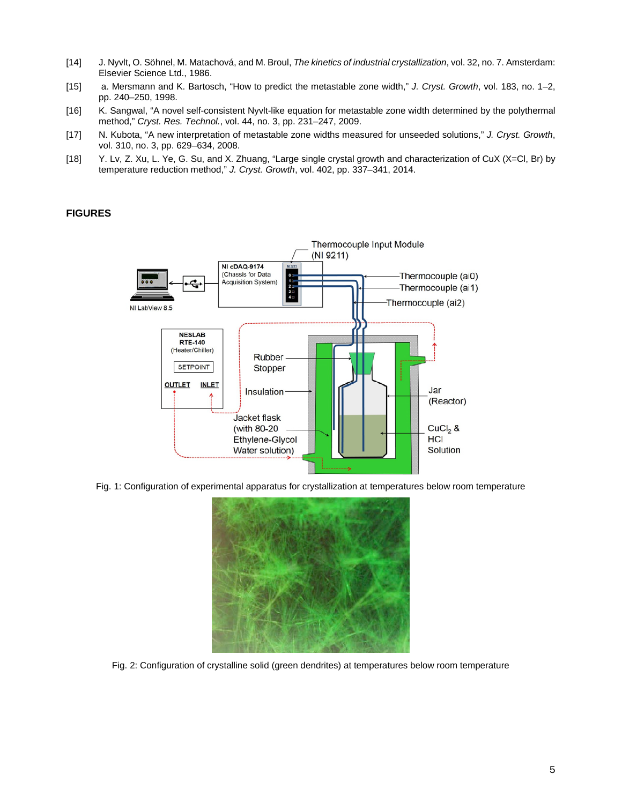- [14] J. Nyvlt, O. Söhnel, M. Matachová, and M. Broul, *The kinetics of industrial crystallization*, vol. 32, no. 7. Amsterdam: Elsevier Science Ltd., 1986.
- [15] a. Mersmann and K. Bartosch, "How to predict the metastable zone width," *J. Cryst. Growth*, vol. 183, no. 1–2, pp. 240–250, 1998.
- [16] K. Sangwal, "A novel self-consistent Nyvlt-like equation for metastable zone width determined by the polythermal method," *Cryst. Res. Technol.*, vol. 44, no. 3, pp. 231–247, 2009.
- [17] N. Kubota, "A new interpretation of metastable zone widths measured for unseeded solutions," *J. Cryst. Growth*, vol. 310, no. 3, pp. 629–634, 2008.
- [18] Y. Lv, Z. Xu, L. Ye, G. Su, and X. Zhuang, "Large single crystal growth and characterization of CuX (X=Cl, Br) by temperature reduction method," *J. Cryst. Growth*, vol. 402, pp. 337–341, 2014.

## **FIGURES**



Fig. 1: Configuration of experimental apparatus for crystallization at temperatures below room temperature



Fig. 2: Configuration of crystalline solid (green dendrites) at temperatures below room temperature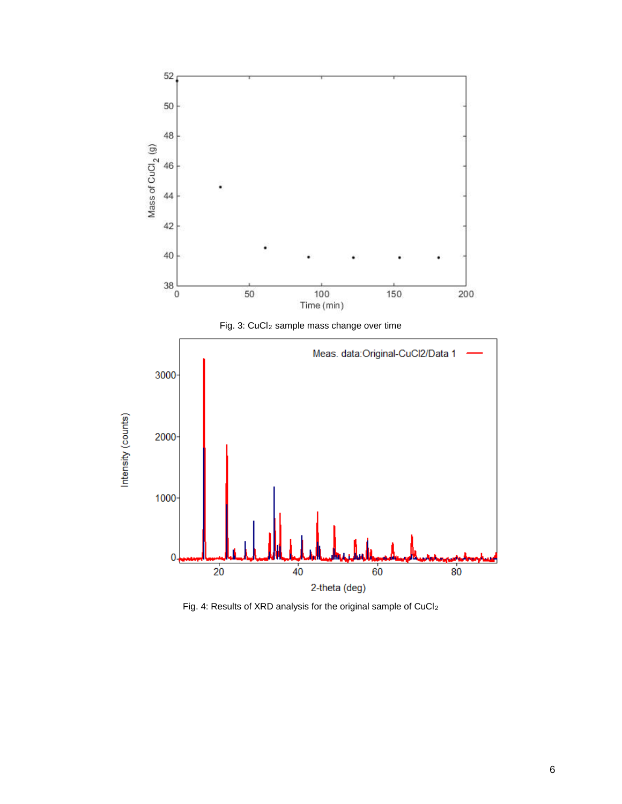

Fig. 4: Results of XRD analysis for the original sample of CuCl2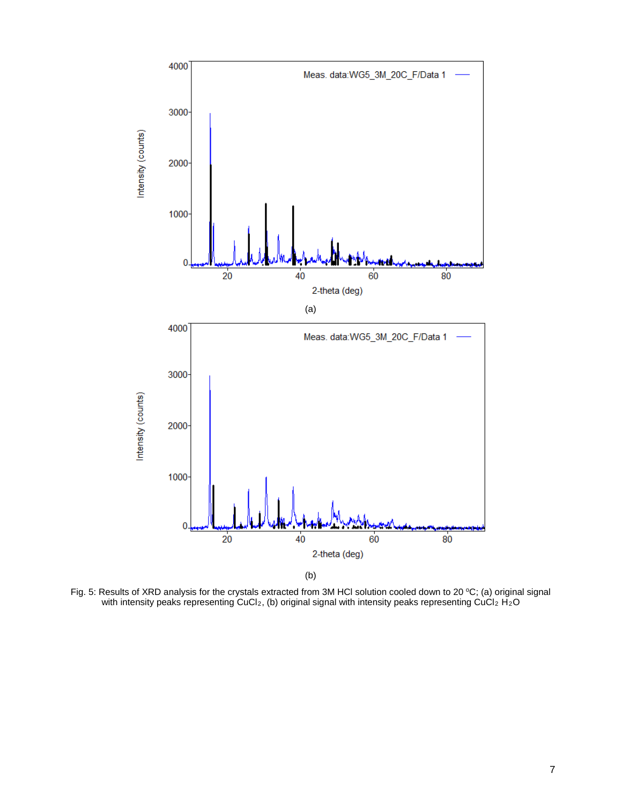

(b)

Fig. 5: Results of XRD analysis for the crystals extracted from 3M HCI solution cooled down to 20 °C; (a) original signal with intensity peaks representing CuCl<sub>2</sub>, (b) original signal with intensity peaks representing CuCl<sub>2</sub> H<sub>2</sub>O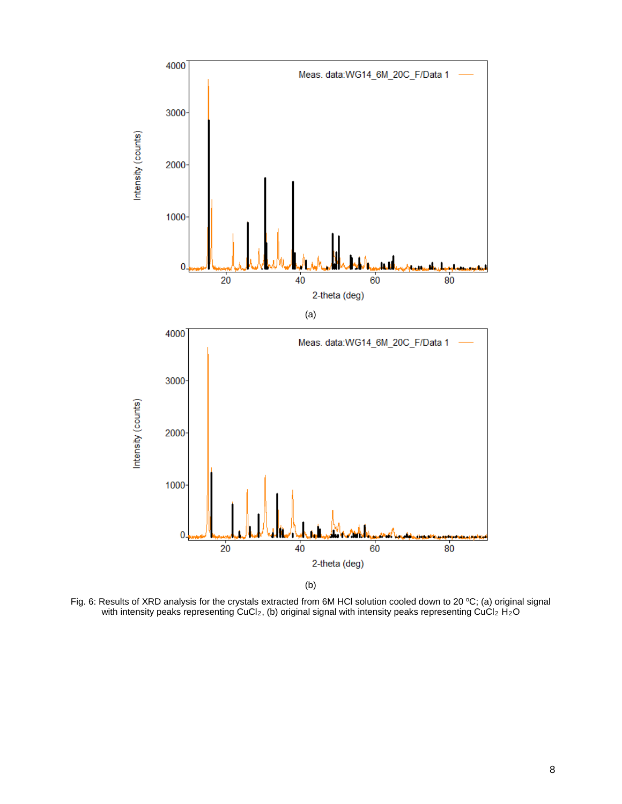

Fig. 6: Results of XRD analysis for the crystals extracted from 6M HCl solution cooled down to 20 °C; (a) original signal with intensity peaks representing CuCl<sub>2</sub>, (b) original signal with intensity peaks representing CuCl<sub>2</sub> H<sub>2</sub>O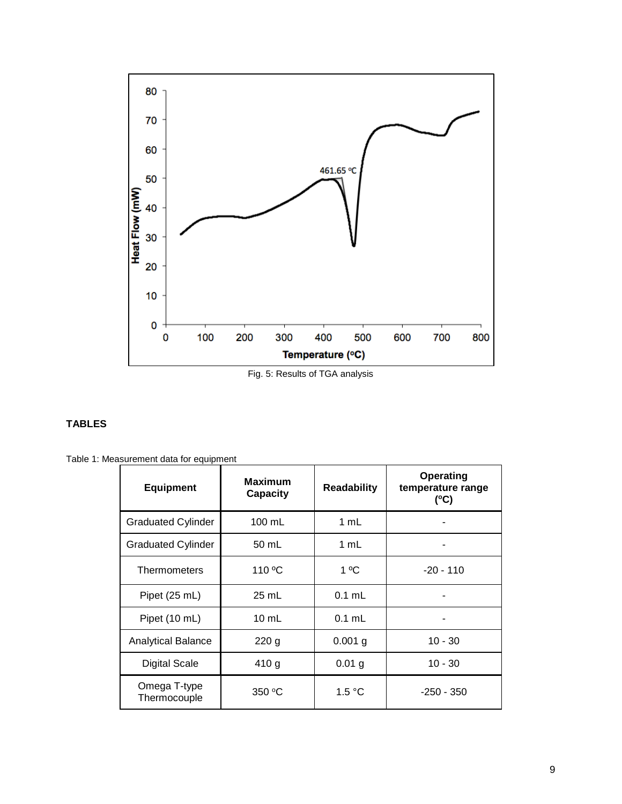

Fig. 5: Results of TGA analysis

# **TABLES**

Table 1: Measurement data for equipment

| <b>Equipment</b>                       | <b>Maximum</b><br><b>Capacity</b> | <b>Readability</b> | Operating<br>temperature range<br>(C) |  |
|----------------------------------------|-----------------------------------|--------------------|---------------------------------------|--|
| <b>Graduated Cylinder</b>              | $100 \text{ mL}$                  | 1 mL               |                                       |  |
| <b>Graduated Cylinder</b>              | 50 mL                             | 1 mL               |                                       |  |
| Thermometers                           | 110 °C                            |                    | $-20 - 110$                           |  |
| Pipet (25 mL)                          | $25$ mL                           | $0.1$ mL           |                                       |  |
| Pipet (10 mL)                          | 10 mL                             | $0.1$ mL           |                                       |  |
| 220 <sub>g</sub><br>Analytical Balance |                                   | $0.001$ g          | $10 - 30$                             |  |
| <b>Digital Scale</b>                   | 410 g                             | $0.01$ g           | $10 - 30$                             |  |
| Omega T-type<br>Thermocouple           | 350 °C                            | 1.5 °C             | $-250 - 350$                          |  |